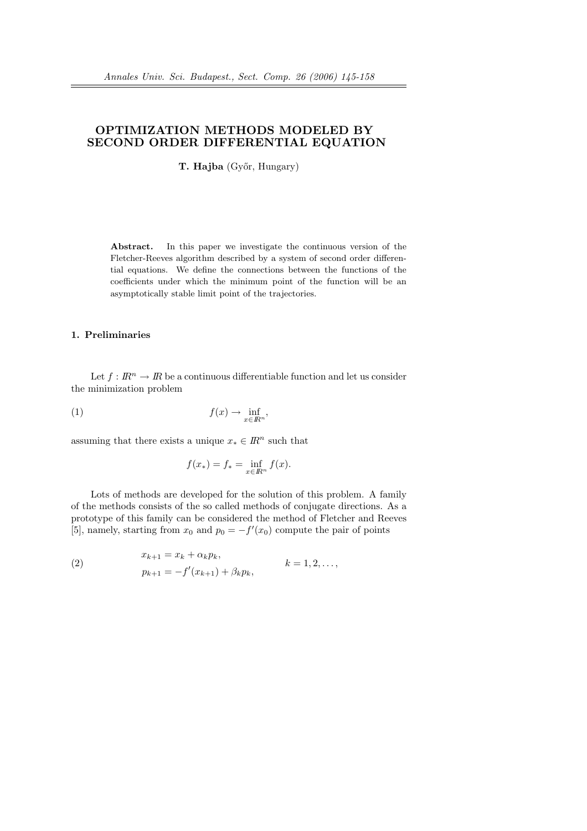# OPTIMIZATION METHODS MODELED BY SECOND ORDER DIFFERENTIAL EQUATION

T. Hajba (Győr, Hungary)

Abstract. In this paper we investigate the continuous version of the Fletcher-Reeves algorithm described by a system of second order differential equations. We define the connections between the functions of the coefficients under which the minimum point of the function will be an asymptotically stable limit point of the trajectories.

# 1. Preliminaries

Let  $f: \mathbb{R}^n \to \mathbb{R}$  be a continuous differentiable function and let us consider the minimization problem

$$
(1) \t\t f(x) \to \inf_{x \in \mathbb{R}^n},
$$

assuming that there exists a unique  $x_* \in \mathbb{R}^n$  such that

$$
f(x_*) = f_* = \inf_{x \in \mathbb{R}^n} f(x).
$$

Lots of methods are developed for the solution of this problem. A family of the methods consists of the so called methods of conjugate directions. As a prototype of this family can be considered the method of Fletcher and Reeves [5], namely, starting from  $x_0$  and  $p_0 = -f'(x_0)$  compute the pair of points

(2) 
$$
x_{k+1} = x_k + \alpha_k p_k, p_{k+1} = -f'(x_{k+1}) + \beta_k p_k, \qquad k = 1, 2, ...,
$$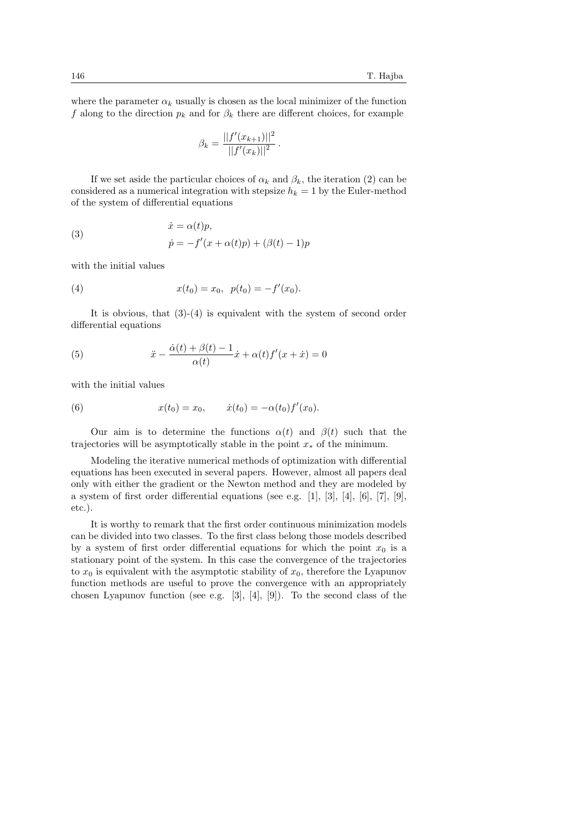where the parameter  $\alpha_k$  usually is chosen as the local minimizer of the function f along to the direction  $p_k$  and for  $\beta_k$  there are different choices, for example

$$
\beta_k = \frac{||f'(x_{k+1})||^2}{||f'(x_k)||^2}.
$$

If we set aside the particular choices of  $\alpha_k$  and  $\beta_k$ , the iteration (2) can be considered as a numerical integration with stepsize  $h_k = 1$  by the Euler-method of the system of differential equations

(3) 
$$
\begin{aligned}\n\dot{x} &= \alpha(t)p, \\
\dot{p} &= -f'(x + \alpha(t)p) + (\beta(t) - 1)p\n\end{aligned}
$$

with the initial values

(4) 
$$
x(t_0) = x_0, \ \ p(t_0) = -f'(x_0).
$$

It is obvious, that  $(3)-(4)$  is equivalent with the system of second order differential equations

(5) 
$$
\ddot{x} - \frac{\dot{\alpha}(t) + \beta(t) - 1}{\alpha(t)} \dot{x} + \alpha(t) f'(x + \dot{x}) = 0
$$

with the initial values

(6) 
$$
x(t_0) = x_0, \qquad \dot{x}(t_0) = -\alpha(t_0) f'(x_0).
$$

Our aim is to determine the functions  $\alpha(t)$  and  $\beta(t)$  such that the trajectories will be asymptotically stable in the point  $x_*$  of the minimum.

Modeling the iterative numerical methods of optimization with differential equations has been executed in several papers. However, almost all papers deal only with either the gradient or the Newton method and they are modeled by a system of first order differential equations (see e.g. [1], [3], [4], [6], [7], [9], etc.).

It is worthy to remark that the first order continuous minimization models can be divided into two classes. To the first class belong those models described by a system of first order differential equations for which the point  $x_0$  is a stationary point of the system. In this case the convergence of the trajectories to  $x_0$  is equivalent with the asymptotic stability of  $x_0$ , therefore the Lyapunov function methods are useful to prove the convergence with an appropriately chosen Lyapunov function (see e.g. [3], [4], [9]). To the second class of the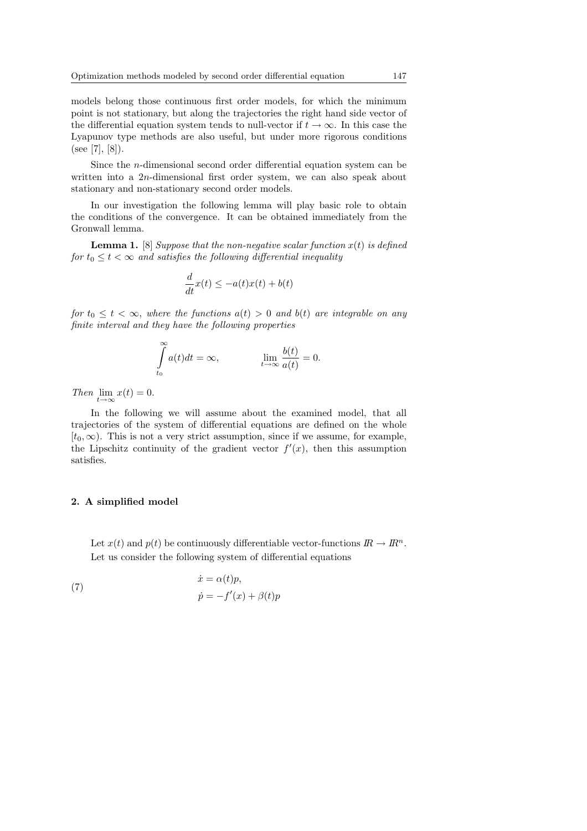models belong those continuous first order models, for which the minimum point is not stationary, but along the trajectories the right hand side vector of the differential equation system tends to null-vector if  $t \to \infty$ . In this case the Lyapunov type methods are also useful, but under more rigorous conditions  $(see [7], [8]).$ 

Since the n-dimensional second order differential equation system can be written into a 2n-dimensional first order system, we can also speak about stationary and non-stationary second order models.

In our investigation the following lemma will play basic role to obtain the conditions of the convergence. It can be obtained immediately from the Gronwall lemma.

**Lemma 1.** [8] Suppose that the non-negative scalar function  $x(t)$  is defined for  $t_0 \leq t < \infty$  and satisfies the following differential inequality

$$
\frac{d}{dt}x(t) \le -a(t)x(t) + b(t)
$$

for  $t_0 \leq t \leq \infty$ , where the functions  $a(t) > 0$  and  $b(t)$  are integrable on any finite interval and they have the following properties

$$
\int_{t_0}^{\infty} a(t)dt = \infty, \qquad \lim_{t \to \infty} \frac{b(t)}{a(t)} = 0.
$$

Then  $\lim_{t\to\infty} x(t) = 0.$ 

In the following we will assume about the examined model, that all trajectories of the system of differential equations are defined on the whole  $[t_0, \infty)$ . This is not a very strict assumption, since if we assume, for example, the Lipschitz continuity of the gradient vector  $f'(x)$ , then this assumption satisfies.

#### 2. A simplified model

Let  $x(t)$  and  $p(t)$  be continuously differentiable vector-functions  $\mathbb{R} \to \mathbb{R}^n$ . Let us consider the following system of differential equations

(7) 
$$
\begin{aligned}\n\dot{x} &= \alpha(t)p, \\
\dot{p} &= -f'(x) + \beta(t)p\n\end{aligned}
$$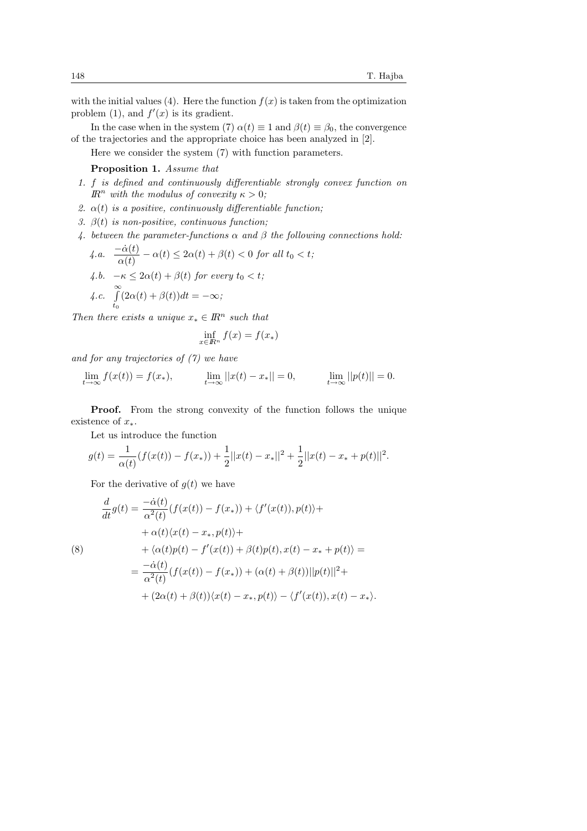with the initial values (4). Here the function  $f(x)$  is taken from the optimization problem (1), and  $f'(x)$  is its gradient.

In the case when in the system (7)  $\alpha(t) \equiv 1$  and  $\beta(t) \equiv \beta_0$ , the convergence of the trajectories and the appropriate choice has been analyzed in [2].

Here we consider the system (7) with function parameters.

# Proposition 1. Assume that

- 1. f is defined and continuously differentiable strongly convex function on  $\mathbb{R}^n$  with the modulus of convexity  $\kappa > 0$ ;
- 2.  $\alpha(t)$  is a positive, continuously differentiable function;
- 3.  $\beta(t)$  is non-positive, continuous function;
- 4. between the parameter-functions  $\alpha$  and  $\beta$  the following connections hold:

4.a. 
$$
\frac{-\dot{\alpha}(t)}{\alpha(t)} - \alpha(t) \le 2\alpha(t) + \beta(t) < 0 \text{ for all } t_0 < t;
$$
  
4.b. 
$$
-\kappa \le 2\alpha(t) + \beta(t) \text{ for every } t_0 < t;
$$
  
4.c. 
$$
\int_{t_0}^{\infty} (2\alpha(t) + \beta(t))dt = -\infty;
$$

Then there exists a unique  $x_* \in \mathbb{R}^n$  such that

$$
\inf_{x \in \mathbb{R}^n} f(x) = f(x_*)
$$

and for any trajectories of (7) we have

$$
\lim_{t \to \infty} f(x(t)) = f(x_*)
$$
\n
$$
\lim_{t \to \infty} ||x(t) - x_*|| = 0
$$
\n
$$
\lim_{t \to \infty} ||p(t)|| = 0.
$$

Proof. From the strong convexity of the function follows the unique existence of  $x_*$ .

Let us introduce the function

$$
g(t) = \frac{1}{\alpha(t)}(f(x(t)) - f(x_{*})) + \frac{1}{2}||x(t) - x_{*}||^{2} + \frac{1}{2}||x(t) - x_{*} + p(t)||^{2}.
$$

For the derivative of  $q(t)$  we have

(8)  
\n
$$
\frac{d}{dt}g(t) = \frac{-\dot{\alpha}(t)}{\alpha^2(t)}(f(x(t)) - f(x_*)) + \langle f'(x(t)), p(t) \rangle +
$$
\n
$$
+ \alpha(t)\langle x(t) - x_*, p(t) \rangle +
$$
\n
$$
+ \langle \alpha(t)p(t) - f'(x(t)) + \beta(t)p(t), x(t) - x_* + p(t) \rangle =
$$
\n
$$
= \frac{-\dot{\alpha}(t)}{\alpha^2(t)}(f(x(t)) - f(x_*)) + (\alpha(t) + \beta(t))||p(t)||^2 +
$$
\n
$$
+ (2\alpha(t) + \beta(t))\langle x(t) - x_*, p(t) \rangle - \langle f'(x(t)), x(t) - x_* \rangle.
$$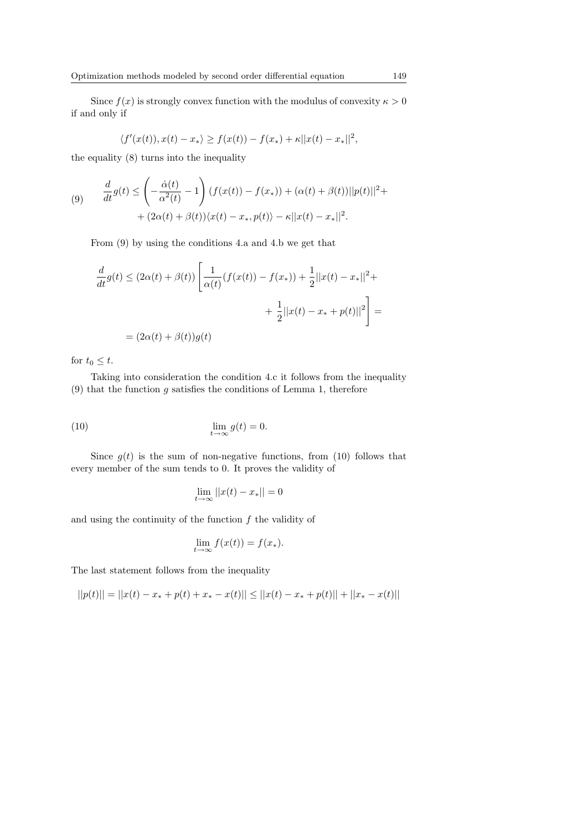Since  $f(x)$  is strongly convex function with the modulus of convexity  $\kappa > 0$ if and only if

$$
\langle f'(x(t)), x(t) - x_* \rangle \ge f(x(t)) - f(x_*) + \kappa ||x(t) - x_*||^2
$$
,

the equality (8) turns into the inequality

(9) 
$$
\frac{d}{dt}g(t) \leq \left(-\frac{\dot{\alpha}(t)}{\alpha^2(t)} - 1\right)(f(x(t)) - f(x_*)) + (\alpha(t) + \beta(t))||p(t)||^2 + (2\alpha(t) + \beta(t))\langle x(t) - x_*, p(t) \rangle - \kappa||x(t) - x_*||^2.
$$

From (9) by using the conditions 4.a and 4.b we get that

$$
\frac{d}{dt}g(t) \le (2\alpha(t) + \beta(t)) \left[ \frac{1}{\alpha(t)} (f(x(t)) - f(x_*) ) + \frac{1}{2} ||x(t) - x_*||^2 + \frac{1}{2} ||x(t) - x_* + p(t)||^2 \right] =
$$
\n
$$
= (2\alpha(t) + \beta(t))g(t)
$$

for  $t_0 \leq t$ .

Taking into consideration the condition 4.c it follows from the inequality  $(9)$  that the function g satisfies the conditions of Lemma 1, therefore

(10) 
$$
\lim_{t \to \infty} g(t) = 0.
$$

Since  $g(t)$  is the sum of non-negative functions, from (10) follows that every member of the sum tends to 0. It proves the validity of

$$
\lim_{t \to \infty} ||x(t) - x_*|| = 0
$$

and using the continuity of the function  $f$  the validity of

$$
\lim_{t \to \infty} f(x(t)) = f(x_*)
$$

The last statement follows from the inequality

$$
||p(t)|| = ||x(t) - x_* + p(t) + x_* - x(t)|| \le ||x(t) - x_* + p(t)|| + ||x_* - x(t)||
$$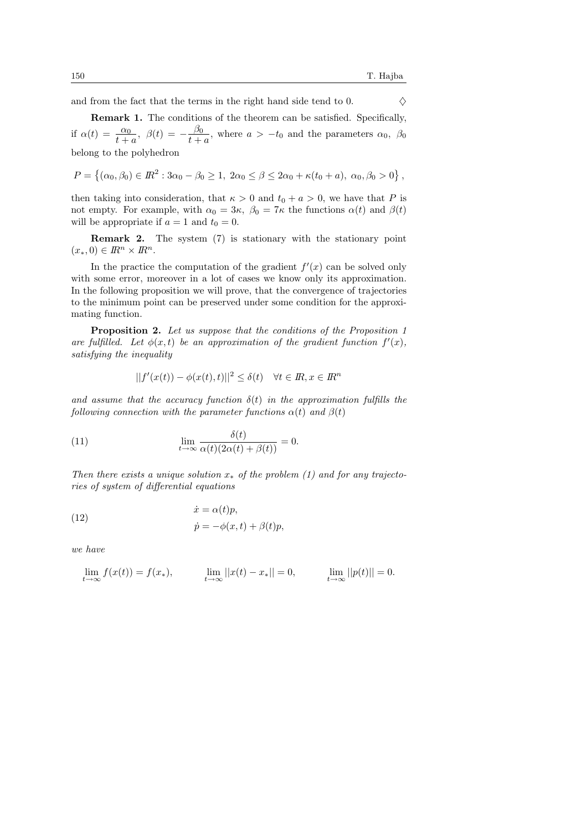and from the fact that the terms in the right hand side tend to 0.  $\Diamond$ 

Remark 1. The conditions of the theorem can be satisfied. Specifically, if  $\alpha(t) = \frac{\alpha_0}{t+a}$ ,  $\beta(t) = -\frac{\beta_0}{t+b}$  $\frac{\rho_0}{t+a}$ , where  $a > -t_0$  and the parameters  $\alpha_0$ ,  $\beta_0$ belong to the polyhedron

$$
P = \left\{ (\alpha_0, \beta_0) \in I\!\!R^2 : 3\alpha_0 - \beta_0 \ge 1, 2\alpha_0 \le \beta \le 2\alpha_0 + \kappa(t_0 + a), \ \alpha_0, \beta_0 > 0 \right\},\
$$

then taking into consideration, that  $\kappa > 0$  and  $t_0 + a > 0$ , we have that P is not empty. For example, with  $\alpha_0 = 3\kappa$ ,  $\beta_0 = 7\kappa$  the functions  $\alpha(t)$  and  $\beta(t)$ will be appropriate if  $a = 1$  and  $t_0 = 0$ .

Remark 2. The system (7) is stationary with the stationary point  $(x_*, 0) \in \mathbb{R}^n \times \mathbb{R}^n$ .

In the practice the computation of the gradient  $f'(x)$  can be solved only with some error, moreover in a lot of cases we know only its approximation. In the following proposition we will prove, that the convergence of trajectories to the minimum point can be preserved under some condition for the approximating function.

Proposition 2. Let us suppose that the conditions of the Proposition 1 are fulfilled. Let  $\phi(x,t)$  be an approximation of the gradient function  $f'(x)$ , satisfying the inequality

$$
||f'(x(t)) - \phi(x(t), t)||^2 \le \delta(t) \quad \forall t \in \mathbb{R}, x \in \mathbb{R}^n
$$

and assume that the accuracy function  $\delta(t)$  in the approximation fulfills the following connection with the parameter functions  $\alpha(t)$  and  $\beta(t)$ 

δ(t)

(11) 
$$
\lim_{t \to \infty} \frac{\delta(t)}{\alpha(t)(2\alpha(t) + \beta(t))} = 0.
$$

Then there exists a unique solution  $x_*$  of the problem (1) and for any trajectories of system of differential equations

(12) 
$$
\begin{aligned}\n\dot{x} &= \alpha(t)p, \\
\dot{p} &= -\phi(x,t) + \beta(t)p,\n\end{aligned}
$$

we have

$$
\lim_{t \to \infty} f(x(t)) = f(x_*)
$$
\n
$$
\lim_{t \to \infty} ||x(t) - x_*|| = 0
$$
\n
$$
\lim_{t \to \infty} ||p(t)|| = 0.
$$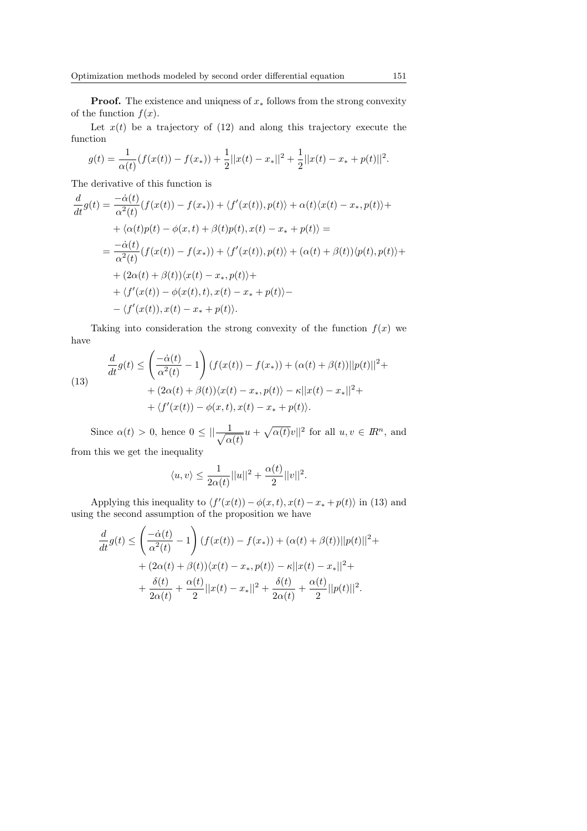**Proof.** The existence and uniquess of  $x_*$  follows from the strong convexity of the function  $f(x)$ .

Let  $x(t)$  be a trajectory of (12) and along this trajectory execute the function

$$
g(t) = \frac{1}{\alpha(t)}(f(x(t)) - f(x_{*})) + \frac{1}{2}||x(t) - x_{*}||^{2} + \frac{1}{2}||x(t) - x_{*} + p(t)||^{2}.
$$

The derivative of this function is

$$
\frac{d}{dt}g(t) = \frac{-\dot{\alpha}(t)}{\alpha^2(t)}(f(x(t)) - f(x_*)) + \langle f'(x(t)), p(t) \rangle + \alpha(t)\langle x(t) - x_*, p(t) \rangle +
$$
  
+  $\langle \alpha(t)p(t) - \phi(x,t) + \beta(t)p(t), x(t) - x_* + p(t) \rangle =$   
=  $\frac{-\dot{\alpha}(t)}{\alpha^2(t)}(f(x(t)) - f(x_*)) + \langle f'(x(t)), p(t) \rangle + (\alpha(t) + \beta(t))\langle p(t), p(t) \rangle +$   
+  $\langle 2\alpha(t) + \beta(t)\rangle\langle x(t) - x_*, p(t) \rangle +$   
+  $\langle f'(x(t)) - \phi(x(t), t), x(t) - x_* + p(t) \rangle -$   
-  $\langle f'(x(t)), x(t) - x_* + p(t) \rangle.$ 

Taking into consideration the strong convexity of the function  $f(x)$  we have  $\overline{a}$ !

(13) 
$$
\frac{d}{dt}g(t) \le \left(\frac{-\dot{\alpha}(t)}{\alpha^2(t)} - 1\right) (f(x(t)) - f(x_*)) + (\alpha(t) + \beta(t))||p(t)||^2 + (2\alpha(t) + \beta(t))\langle x(t) - x_*, p(t) \rangle - \kappa||x(t) - x_*||^2 + (f'(x(t)) - \phi(x, t), x(t) - x_* + p(t)).
$$

Since  $\alpha(t) > 0$ , hence  $0 \le ||-\frac{1}{\sqrt{p}}||$  $rac{1}{\alpha(t)}u$  +  $\sqrt{\alpha(t)}v\vert^2$  for all  $u, v \in \mathbb{R}^n$ , and from this we get the inequality

$$
\langle u, v \rangle \leq \frac{1}{2\alpha(t)}||u||^2 + \frac{\alpha(t)}{2}||v||^2.
$$

Applying this inequality to  $\langle f'(x(t)) - \phi(x, t), x(t) - x_* + p(t) \rangle$  in (13) and using the second assumption of the proposition we have

$$
\frac{d}{dt}g(t) \le \left(\frac{-\dot{\alpha}(t)}{\alpha^2(t)} - 1\right) (f(x(t)) - f(x_*)) + (\alpha(t) + \beta(t))||p(t)||^2 +
$$
  
+  $(2\alpha(t) + \beta(t))\langle x(t) - x_*, p(t) \rangle - \kappa||x(t) - x_*||^2 +$   
+  $\frac{\delta(t)}{2\alpha(t)} + \frac{\alpha(t)}{2}||x(t) - x_*||^2 + \frac{\delta(t)}{2\alpha(t)} + \frac{\alpha(t)}{2}||p(t)||^2.$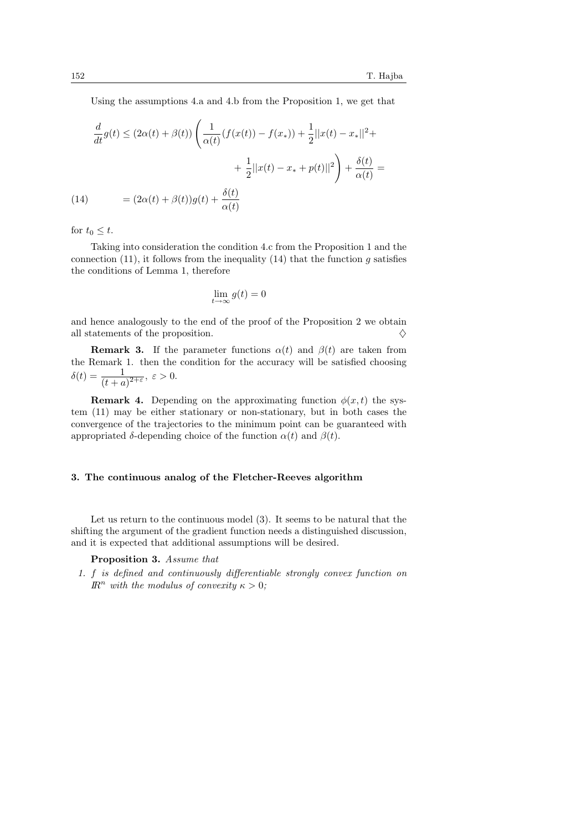Using the assumptions 4.a and 4.b from the Proposition 1, we get that

$$
\frac{d}{dt}g(t) \le (2\alpha(t) + \beta(t)) \left( \frac{1}{\alpha(t)} (f(x(t)) - f(x_*) ) + \frac{1}{2} ||x(t) - x_*||^2 + \frac{1}{2} ||x(t) - x_* + p(t)||^2 \right) + \frac{\delta(t)}{\alpha(t)} =
$$
\n(14) 
$$
= (2\alpha(t) + \beta(t))g(t) + \frac{\delta(t)}{\alpha(t)}
$$

for  $t_0 \leq t$ .

Taking into consideration the condition 4.c from the Proposition 1 and the connection (11), it follows from the inequality (14) that the function q satisfies the conditions of Lemma 1, therefore

$$
\lim_{t \to \infty} g(t) = 0
$$

and hence analogously to the end of the proof of the Proposition 2 we obtain all statements of the proposition.  $\Diamond$ 

**Remark 3.** If the parameter functions  $\alpha(t)$  and  $\beta(t)$  are taken from the Remark 1. then the condition for the accuracy will be satisfied choosing  $\delta(t) = \frac{1}{(t+a)^{2+\varepsilon}}, \ \varepsilon > 0.$ 

**Remark 4.** Depending on the approximating function  $\phi(x, t)$  the system (11) may be either stationary or non-stationary, but in both cases the convergence of the trajectories to the minimum point can be guaranteed with appropriated  $\delta$ -depending choice of the function  $\alpha(t)$  and  $\beta(t)$ .

#### 3. The continuous analog of the Fletcher-Reeves algorithm

Let us return to the continuous model (3). It seems to be natural that the shifting the argument of the gradient function needs a distinguished discussion, and it is expected that additional assumptions will be desired.

## Proposition 3. Assume that

1. f is defined and continuously differentiable strongly convex function on  $\mathbb{R}^n$  with the modulus of convexity  $\kappa > 0$ ;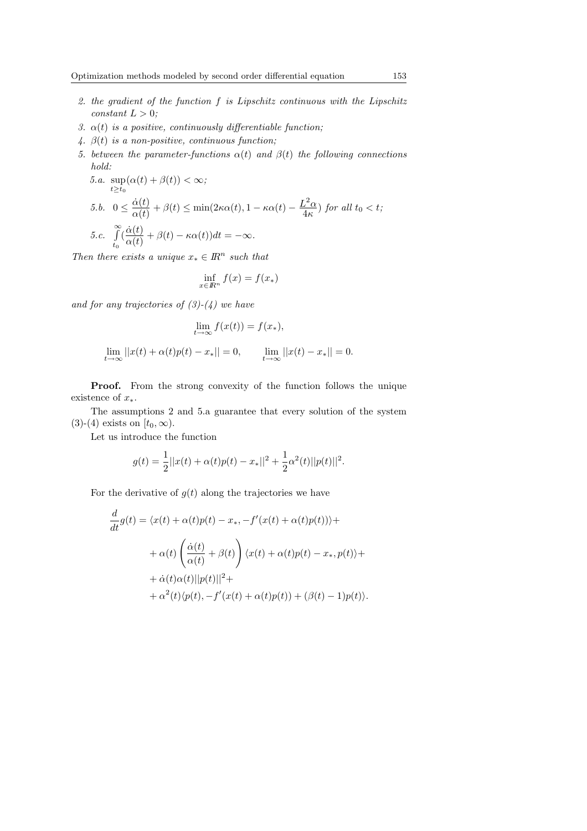- 2. the gradient of the function f is Lipschitz continuous with the Lipschitz  $constant L > 0$ :
- 3.  $\alpha(t)$  is a positive, continuously differentiable function;
- 4.  $\beta(t)$  is a non-positive, continuous function;
- 5. between the parameter-functions  $\alpha(t)$  and  $\beta(t)$  the following connections hold:

5.a. 
$$
\sup_{t \ge t_0} (\alpha(t) + \beta(t)) < \infty;
$$
  
\n5.b.  $0 \le \frac{\dot{\alpha}(t)}{\alpha(t)} + \beta(t) \le \min(2\kappa\alpha(t), 1 - \kappa\alpha(t) - \frac{L^2 \alpha}{4\kappa}) \text{ for all } t_0 < t;$   
\n5.c.  $\int_{t_0}^{\infty} (\frac{\dot{\alpha}(t)}{\alpha(t)} + \beta(t) - \kappa\alpha(t)) dt = -\infty.$ 

Then there exists a unique  $x_* \in \mathbb{R}^n$  such that

$$
\inf_{x \in \mathbb{R}^n} f(x) = f(x_*)
$$

and for any trajectories of  $(3)-(4)$  we have

$$
\lim_{t \to \infty} f(x(t)) = f(x_*)
$$
\n
$$
\lim_{t \to \infty} ||x(t) + \alpha(t)p(t) - x_*|| = 0, \qquad \lim_{t \to \infty} ||x(t) - x_*|| = 0.
$$

Proof. From the strong convexity of the function follows the unique existence of  $x_*$ .

The assumptions 2 and 5.a guarantee that every solution of the system (3)-(4) exists on  $[t_0, \infty)$ .

Let us introduce the function

$$
g(t) = \frac{1}{2}||x(t) + \alpha(t)p(t) - x_*||^2 + \frac{1}{2}\alpha^2(t)||p(t)||^2.
$$

For the derivative of  $g(t)$  along the trajectories we have

$$
\frac{d}{dt}g(t) = \langle x(t) + \alpha(t)p(t) - x_*, -f'(x(t) + \alpha(t)p(t)) \rangle +
$$

$$
+ \alpha(t)\left(\frac{\dot{\alpha}(t)}{\alpha(t)} + \beta(t)\right)\langle x(t) + \alpha(t)p(t) - x_*, p(t) \rangle +
$$

$$
+ \dot{\alpha}(t)\alpha(t)||p(t)||^2 +
$$

$$
+ \alpha^2(t)\langle p(t), -f'(x(t) + \alpha(t)p(t)) + (\beta(t) - 1)p(t)\rangle.
$$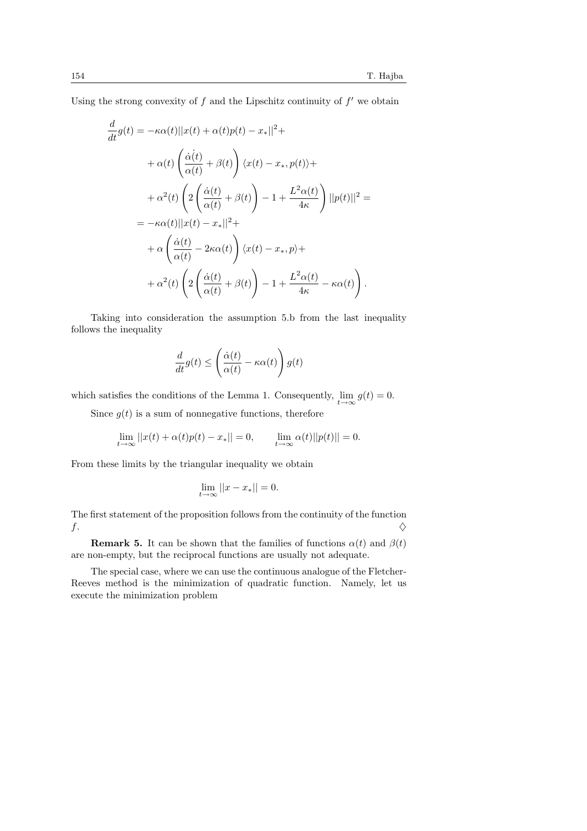Using the strong convexity of  $f$  and the Lipschitz continuity of  $f'$  we obtain

$$
\frac{d}{dt}g(t) = -\kappa\alpha(t)||x(t) + \alpha(t)p(t) - x_*||^2 +
$$
\n
$$
+ \alpha(t)\left(\frac{\dot{\alpha}(t)}{\alpha(t)} + \beta(t)\right)\langle x(t) - x_*, p(t)\rangle +
$$
\n
$$
+ \alpha^2(t)\left(2\left(\frac{\dot{\alpha}(t)}{\alpha(t)} + \beta(t)\right) - 1 + \frac{L^2\alpha(t)}{4\kappa}\right)||p(t)||^2 =
$$
\n
$$
= -\kappa\alpha(t)||x(t) - x_*||^2 +
$$
\n
$$
+ \alpha\left(\frac{\dot{\alpha}(t)}{\alpha(t)} - 2\kappa\alpha(t)\right)\langle x(t) - x_*, p\rangle +
$$
\n
$$
+ \alpha^2(t)\left(2\left(\frac{\dot{\alpha}(t)}{\alpha(t)} + \beta(t)\right) - 1 + \frac{L^2\alpha(t)}{4\kappa} - \kappa\alpha(t)\right).
$$

Taking into consideration the assumption 5.b from the last inequality follows the inequality

$$
\frac{d}{dt}g(t) \le \left(\frac{\dot{\alpha}(t)}{\alpha(t)} - \kappa \alpha(t)\right)g(t)
$$

which satisfies the conditions of the Lemma 1. Consequently,  $\lim_{t\to\infty} g(t) = 0$ .

Since  $g(t)$  is a sum of nonnegative functions, therefore

$$
\lim_{t \to \infty} ||x(t) + \alpha(t)p(t) - x_*|| = 0, \qquad \lim_{t \to \infty} \alpha(t) ||p(t)|| = 0.
$$

From these limits by the triangular inequality we obtain

$$
\lim_{t \to \infty} ||x - x_*|| = 0.
$$

The first statement of the proposition follows from the continuity of the function  $f$ .

**Remark 5.** It can be shown that the families of functions  $\alpha(t)$  and  $\beta(t)$ are non-empty, but the reciprocal functions are usually not adequate.

The special case, where we can use the continuous analogue of the Fletcher-Reeves method is the minimization of quadratic function. Namely, let us execute the minimization problem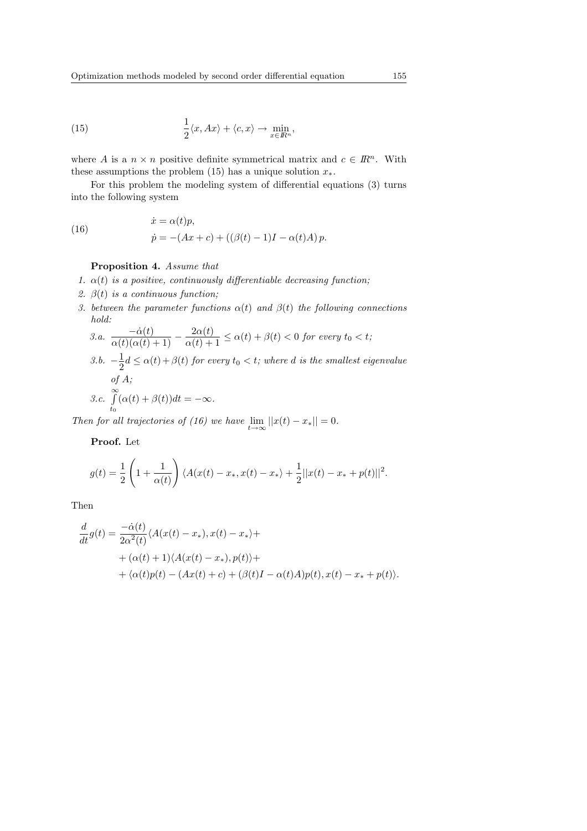(15) 
$$
\frac{1}{2}\langle x, Ax \rangle + \langle c, x \rangle \to \min_{x \in \mathbb{R}^n},
$$

where A is a  $n \times n$  positive definite symmetrical matrix and  $c \in \mathbb{R}^n$ . With these assumptions the problem (15) has a unique solution  $x_*.$ 

For this problem the modeling system of differential equations (3) turns into the following system

(16) 
$$
\dot{x} = \alpha(t)p, \n\dot{p} = -(Ax + c) + ((\beta(t) - 1)I - \alpha(t)A)p.
$$

#### Proposition 4. Assume that

- 1.  $\alpha(t)$  is a positive, continuously differentiable decreasing function;
- 2.  $\beta(t)$  is a continuous function;
- 3. between the parameter functions  $\alpha(t)$  and  $\beta(t)$  the following connections hold:

3.a. 
$$
\frac{-\dot{\alpha}(t)}{\alpha(t)(\alpha(t)+1)} - \frac{2\alpha(t)}{\alpha(t)+1} \le \alpha(t) + \beta(t) < 0 \text{ for every } t_0 < t;
$$
  
3.b. 
$$
-\frac{1}{2}d \le \alpha(t) + \beta(t) \text{ for every } t_0 < t; \text{ where } d \text{ is the smallest eigenvalue}
$$
  
of A;  
3.c. 
$$
\int_{t_0}^{\infty} (\alpha(t) + \beta(t))dt = -\infty.
$$

Then for all trajectories of (16) we have  $\lim_{t\to\infty} ||x(t) - x_*|| = 0$ .

Proof. Let

$$
g(t) = \frac{1}{2} \left( 1 + \frac{1}{\alpha(t)} \right) \langle A(x(t) - x_*, x(t) - x_* \rangle + \frac{1}{2} ||x(t) - x_* + p(t)||^2.
$$

Then

$$
\frac{d}{dt}g(t) = \frac{-\dot{\alpha}(t)}{2\alpha^2(t)} \langle A(x(t) - x_*) , x(t) - x_* \rangle + \n+ (\alpha(t) + 1) \langle A(x(t) - x_*) , p(t) \rangle + \n+ \langle \alpha(t)p(t) - (Ax(t) + c) + (\beta(t)I - \alpha(t)A)p(t) , x(t) - x_* + p(t) \rangle.
$$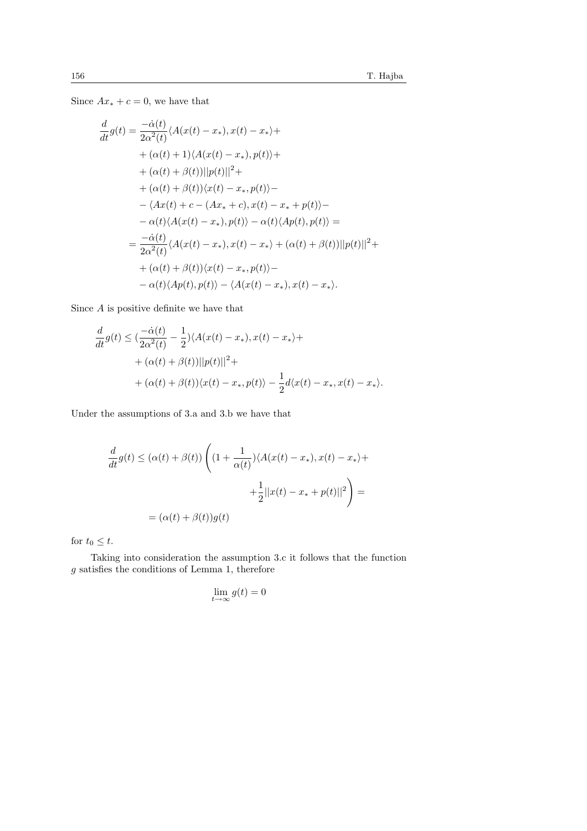Since  $Ax_* + c = 0$ , we have that

$$
\frac{d}{dt}g(t) = \frac{-\dot{\alpha}(t)}{2\alpha^2(t)} \langle A(x(t) - x_*) , x(t) - x_* \rangle + \n+ (\alpha(t) + 1) \langle A(x(t) - x_*) , p(t) \rangle + \n+ (\alpha(t) + \beta(t)) ||p(t)||^2 + \n+ (\alpha(t) + \beta(t)) \langle x(t) - x_*, p(t) \rangle - \n- \langle Ax(t) + c - (Ax_* + c), x(t) - x_* + p(t) \rangle - \n- \alpha(t) \langle A(x(t) - x_*) , p(t) \rangle - \alpha(t) \langle Ap(t), p(t) \rangle = \n= \frac{-\dot{\alpha}(t)}{2\alpha^2(t)} \langle A(x(t) - x_*) , x(t) - x_* \rangle + (\alpha(t) + \beta(t)) ||p(t)||^2 + \n+ (\alpha(t) + \beta(t)) \langle x(t) - x_*, p(t) \rangle - \n- \alpha(t) \langle Ap(t), p(t) \rangle - \langle A(x(t) - x_*) , x(t) - x_* \rangle.
$$

Since  $A$  is positive definite we have that

$$
\frac{d}{dt}g(t) \leq \left(\frac{-\dot{\alpha}(t)}{2\alpha^2(t)} - \frac{1}{2}\right) \langle A(x(t) - x_*) , x(t) - x_* \rangle + \n+ (\alpha(t) + \beta(t)) ||p(t)||^2 + \n+ (\alpha(t) + \beta(t)) \langle x(t) - x_*, p(t) \rangle - \frac{1}{2} d \langle x(t) - x_*, x(t) - x_* \rangle.
$$

Under the assumptions of 3.a and 3.b we have that

$$
\frac{d}{dt}g(t) \le (\alpha(t) + \beta(t)) \left( (1 + \frac{1}{\alpha(t)}) \langle A(x(t) - x_*) , x(t) - x_* \rangle + \frac{1}{2} ||x(t) - x_* + p(t)||^2 \right) =
$$
\n
$$
= (\alpha(t) + \beta(t))g(t)
$$

for  $t_0 \leq t$ .

Taking into consideration the assumption 3.c it follows that the function g satisfies the conditions of Lemma 1, therefore

$$
\lim_{t \to \infty} g(t) = 0
$$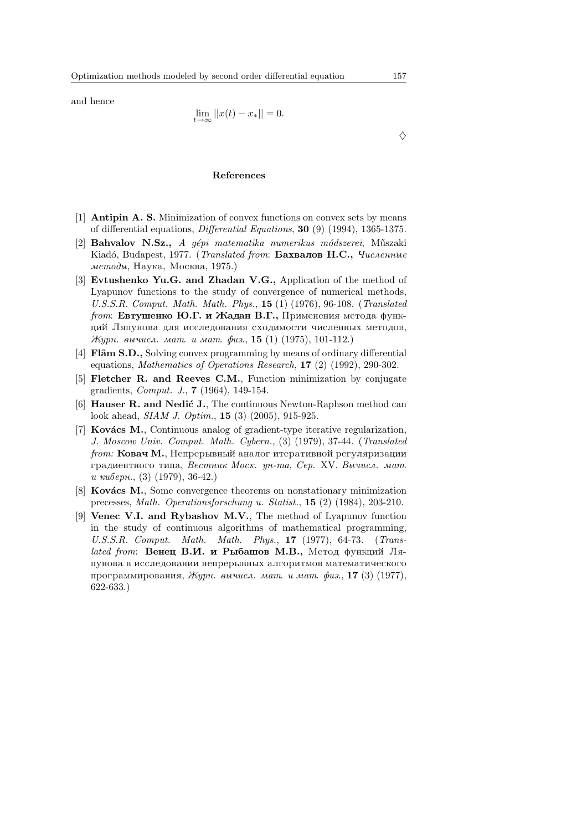and hence

$$
\lim_{t \to \infty} ||x(t) - x_*|| = 0.
$$

## $\Diamond$

#### References

- [1] Antipin A. S. Minimization of convex functions on convex sets by means of differential equations, Differential Equations, 30 (9) (1994), 1365-1375.
- [2] Bahvalov N.Sz., A gépi matematika numerikus módszerei, Műszaki Kiadó, Budapest, 1977. (Translated from: **Бахвалов Н.С.,** Численные  $m$ етоды, Наука, Москва, 1975.)
- [3] Evtushenko Yu.G. and Zhadan V.G., Application of the method of Lyapunov functions to the study of convergence of numerical methods, U.S.S.R. Comput. Math. Math. Phys., 15 (1) (1976), 96-108. (Translated *from*: **Евтушенко Ю.Г. и Жадан В.Г.**, Применения метода функций Ляпунова для исследования сходимости численных методов,  $Kypn.$  вычисл. мат. и мат. физ., 15 (1) (1975), 101-112.)
- [4] **Flåm S.D.**, Solving convex programming by means of ordinary differential equations, Mathematics of Operations Research, 17 (2) (1992), 290-302.
- [5] Fletcher R. and Reeves C.M., Function minimization by conjugate gradients, Comput. J., 7 (1964), 149-154.
- $[6]$  Hauser R. and Nedić J., The continuous Newton-Raphson method can look ahead, SIAM J. Optim., 15 (3) (2005), 915-925.
- [7] **Kovács M.**, Continuous analog of gradient-type iterative regularization, J. Moscow Univ. Comput. Math. Cybern., (3) (1979), 37-44. (Translated  $from:$  Ковач М., Непрерывный аналог итеративной регуляризации градиентного типа, Вестник Моск. ун-та, Сер. XV. Вычисл. мат. u киберн.,  $(3)$  (1979), 36-42.)
- [8] **Kovács M.**, Some convergence theorems on nonstationary minimization precesses, Math. Operationsforschung u. Statist., 15 (2) (1984), 203-210.
- [9] Venec V.I. and Rybashov M.V., The method of Lyapunov function in the study of continuous algorithms of mathematical programming, U.S.S.R. Comput. Math. Math. Phys., 17 (1977), 64-73. (Translated from: **Венец В.И. и Рыбашов М.В.**, Метод функций Ляпунова в исследовании непрерывных алгоритмов математического программирования, Журн. вычисл. мат. и мат. физ., 17 (3) (1977), 622-633.)